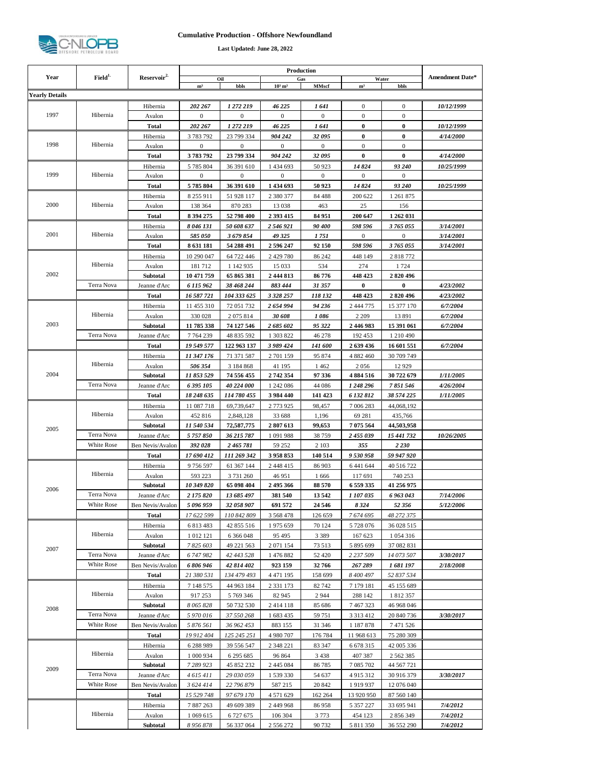

## **Cumulative Production - Offshore Newfoundland**

**Last Updated: June 28, 2022**

|                       |                    | Reservoir <sup>2</sup>   |                         |                          |                            |                       |                            |                                                                                                                                                                                                                                                                                                                                                                                                                                                                                                                                                                                                                                                                                                                                                                                                             |                                      |
|-----------------------|--------------------|--------------------------|-------------------------|--------------------------|----------------------------|-----------------------|----------------------------|-------------------------------------------------------------------------------------------------------------------------------------------------------------------------------------------------------------------------------------------------------------------------------------------------------------------------------------------------------------------------------------------------------------------------------------------------------------------------------------------------------------------------------------------------------------------------------------------------------------------------------------------------------------------------------------------------------------------------------------------------------------------------------------------------------------|--------------------------------------|
| Year                  | Field <sup>1</sup> |                          | m <sup>3</sup>          | Oil<br>bbls              | $10^3$ m <sup>3</sup>      | Gas<br><b>MMscf</b>   | m <sup>3</sup>             | Water                                                                                                                                                                                                                                                                                                                                                                                                                                                                                                                                                                                                                                                                                                                                                                                                       | <b>Amendment Date*</b>               |
| <b>Yearly Details</b> |                    |                          |                         |                          |                            |                       |                            |                                                                                                                                                                                                                                                                                                                                                                                                                                                                                                                                                                                                                                                                                                                                                                                                             |                                      |
|                       |                    | Hibernia                 | 202 267                 | 1 272 219                | 46 225                     | 1 641                 | $\boldsymbol{0}$           |                                                                                                                                                                                                                                                                                                                                                                                                                                                                                                                                                                                                                                                                                                                                                                                                             | 10/12/1999                           |
| 1997                  | Hibernia           | Avalon                   | $\mathbf{0}$            | $\mathbf{0}$             | $\mathbf{0}$               | $\boldsymbol{0}$      | 0                          |                                                                                                                                                                                                                                                                                                                                                                                                                                                                                                                                                                                                                                                                                                                                                                                                             |                                      |
|                       |                    | Total                    | 202 267                 | 1 272 219                | 46 225                     | 1 641                 | 0                          |                                                                                                                                                                                                                                                                                                                                                                                                                                                                                                                                                                                                                                                                                                                                                                                                             | <i><b>10/12/1999</b></i>             |
|                       |                    | Hibernia                 | 3783792                 | 23 799 334               | 904 242                    | 32095                 | 0                          |                                                                                                                                                                                                                                                                                                                                                                                                                                                                                                                                                                                                                                                                                                                                                                                                             | 4/14/2000                            |
| 1998                  | Hibernia           | Avalon                   | $\mathbf{0}$            | $\theta$                 | $\mathbf{0}$               | $\mathbf{0}$          | 0                          |                                                                                                                                                                                                                                                                                                                                                                                                                                                                                                                                                                                                                                                                                                                                                                                                             |                                      |
|                       |                    | Total                    | 3783792                 | 23 799 334               | 904 242                    | 32095                 | $\bf{0}$                   |                                                                                                                                                                                                                                                                                                                                                                                                                                                                                                                                                                                                                                                                                                                                                                                                             | 4/14/2000                            |
|                       |                    | Hibernia                 | 5785804                 | 36 391 610               | 1 434 693                  | 50 923                | 14 824                     |                                                                                                                                                                                                                                                                                                                                                                                                                                                                                                                                                                                                                                                                                                                                                                                                             | <i><b>10/25/1999</b></i>             |
| 1999                  | Hibernia           | Avalon                   | $\boldsymbol{0}$        | $\mathbf{0}$             | $\bf{0}$                   | 0                     | 0                          | $\boldsymbol{0}$                                                                                                                                                                                                                                                                                                                                                                                                                                                                                                                                                                                                                                                                                                                                                                                            |                                      |
|                       |                    | Total                    | 5785804                 | 36 391 610               | 1 434 693                  | 50 923                | 14824                      | bbls<br>$\mathbf{0}$<br>$\mathbf{0}$<br>$\bf{0}$<br>$\bf{0}$<br>$\mathbf{0}$<br>$\bf{0}$<br>93 240<br>93 240<br>1 261 875<br>156<br>1 262 031<br>3 765 055<br>$\mathbf{0}$<br>3 765 055<br>2818772<br>1724<br>2820496<br>$\bf{0}$<br>2820496<br>15 377 170<br>13891<br>15 391 061<br>1 210 490<br>16 601 551<br>30 709 749<br>12929<br>30 722 679<br>7 851 546<br>38 574 225<br>44,068,192<br>435,766<br>44,503,958<br>15 441 732<br>2 230<br>59 947 920<br>40 516 722<br>740 253<br>41 256 975<br>6 963 043<br>52 356<br>48 272 375<br>36 028 515<br>1 0 5 4 3 1 6<br>37 082 831<br>14 073 507<br>1681197<br>52 837 534<br>45 155 689<br>1812357<br>46 968 046<br>20 840 736<br>7471526<br>75 280 309<br>42 005 336<br>2 5 6 2 3 8 5<br>44 567 721<br>30 916 379<br>12 076 040<br>87 560 140<br>33 695 941 | 10/25/1999                           |
|                       |                    | Hibernia                 | 8 255 911               | 51 928 117               | 2 3 8 0 3 7 7              | 84 4 88               | 200 622                    |                                                                                                                                                                                                                                                                                                                                                                                                                                                                                                                                                                                                                                                                                                                                                                                                             |                                      |
| 2000                  | Hibernia           | Avalon                   | 138 364                 | 870 283                  | 13 038                     | 463                   | 25                         |                                                                                                                                                                                                                                                                                                                                                                                                                                                                                                                                                                                                                                                                                                                                                                                                             |                                      |
|                       |                    | Total                    | 8 394 275               | 52 798 400               | 2 393 415                  | 84 951                | 200 647                    |                                                                                                                                                                                                                                                                                                                                                                                                                                                                                                                                                                                                                                                                                                                                                                                                             |                                      |
|                       |                    | Hibernia                 | 8 046 131               | 50 608 637               | 2 546 921                  | 90 400                | 598 596                    |                                                                                                                                                                                                                                                                                                                                                                                                                                                                                                                                                                                                                                                                                                                                                                                                             | 3/14/2001                            |
| 2001                  | Hibernia           | Avalon                   | 585 050                 | 3 679 854                | 49 325                     | 1 751                 | $\mathbf{0}$               |                                                                                                                                                                                                                                                                                                                                                                                                                                                                                                                                                                                                                                                                                                                                                                                                             | 3/14/2001                            |
|                       |                    | Total                    | 8 631 181               | 54 288 491               | 2 596 247                  | 92 150                | 598 596                    |                                                                                                                                                                                                                                                                                                                                                                                                                                                                                                                                                                                                                                                                                                                                                                                                             | 3/14/2001                            |
|                       |                    | Hibernia                 | 10 290 047              | 64 722 446               | 2 429 780                  | 86 242                | 448 149                    |                                                                                                                                                                                                                                                                                                                                                                                                                                                                                                                                                                                                                                                                                                                                                                                                             |                                      |
|                       | Hibernia           | Avalon                   | 181712                  | 1 142 935                | 15 0 33                    | 534                   | 274                        |                                                                                                                                                                                                                                                                                                                                                                                                                                                                                                                                                                                                                                                                                                                                                                                                             |                                      |
| 2002                  |                    | <b>Subtotal</b>          | 10 471 759              | 65 865 381               | 2 444 813                  | 86 776                | 448 423                    |                                                                                                                                                                                                                                                                                                                                                                                                                                                                                                                                                                                                                                                                                                                                                                                                             |                                      |
|                       | Terra Nova         | Jeanne d'Arc             | 6 115 962               | 38 468 244               | 883 444                    | 31 357                | 0                          |                                                                                                                                                                                                                                                                                                                                                                                                                                                                                                                                                                                                                                                                                                                                                                                                             | <i>4/23/2002</i>                     |
|                       |                    | Total                    | 16 587 721              | 104 333 625              | 3 3 28 25 7                | 118 132               | 448 423                    |                                                                                                                                                                                                                                                                                                                                                                                                                                                                                                                                                                                                                                                                                                                                                                                                             | <i>4/23/2002</i>                     |
|                       |                    | Hibernia                 | 11 455 310              | 72 051 732               | 2 654 994                  | 94 236                | 2 444 775                  |                                                                                                                                                                                                                                                                                                                                                                                                                                                                                                                                                                                                                                                                                                                                                                                                             | 6/7/2004                             |
|                       | Hibernia           | Avalon                   | 330 028                 | 2 0 7 5 8 1 4            | 30 608                     | 1086                  | 2 2 0 9                    |                                                                                                                                                                                                                                                                                                                                                                                                                                                                                                                                                                                                                                                                                                                                                                                                             | 6/7/2004                             |
| 2003                  |                    | Subtotal                 | 11 785 338              | 74 127 546               | 2 685 602                  | 95 322                | 2 446 983                  |                                                                                                                                                                                                                                                                                                                                                                                                                                                                                                                                                                                                                                                                                                                                                                                                             | 6/7/2004                             |
|                       | Terra Nova         | Jeanne d'Arc             | 7764239                 | 48 835 592               | 1 303 822                  | 46 278                | 192 453                    |                                                                                                                                                                                                                                                                                                                                                                                                                                                                                                                                                                                                                                                                                                                                                                                                             |                                      |
|                       |                    | <b>Total</b>             | 19 549 577              | 122 963 137              | 3 989 424                  | <i><b>141 600</b></i> | 2639436                    |                                                                                                                                                                                                                                                                                                                                                                                                                                                                                                                                                                                                                                                                                                                                                                                                             | 6/7/2004                             |
|                       | Hibernia           | Hibernia                 | 11 347 176              | 71 371 587               | 2 701 159                  | 95 874                | 4 882 460                  |                                                                                                                                                                                                                                                                                                                                                                                                                                                                                                                                                                                                                                                                                                                                                                                                             |                                      |
| 2004                  |                    | Avalon                   | 506 354                 | 3 184 868                | 41 195                     | 1462                  | 2056                       |                                                                                                                                                                                                                                                                                                                                                                                                                                                                                                                                                                                                                                                                                                                                                                                                             |                                      |
|                       | Terra Nova         | Subtotal<br>Jeanne d'Arc | 11 853 529<br>6 395 105 | 74 556 455<br>40 224 000 | 2 742 354<br>1 242 086     | 97 336<br>44 086      | 4 8 8 4 5 1 6<br>1 248 296 |                                                                                                                                                                                                                                                                                                                                                                                                                                                                                                                                                                                                                                                                                                                                                                                                             | 1/11/2005<br><i><b>4/26/2004</b></i> |
|                       |                    | Total                    | 18 248 635              | 114 780 455              | 3 984 440                  | 141 423               | 6 132 812                  |                                                                                                                                                                                                                                                                                                                                                                                                                                                                                                                                                                                                                                                                                                                                                                                                             | <i>1/11/2005</i>                     |
|                       |                    | Hibernia                 | 11 087 718              | 69,739,647               | 2 773 925                  | 98,457                | 7 006 283                  |                                                                                                                                                                                                                                                                                                                                                                                                                                                                                                                                                                                                                                                                                                                                                                                                             |                                      |
|                       | Hibernia           | Avalon                   | 452 816                 | 2,848,128                | 33 688                     | 1,196                 | 69 281                     |                                                                                                                                                                                                                                                                                                                                                                                                                                                                                                                                                                                                                                                                                                                                                                                                             |                                      |
|                       |                    | Subtotal                 | 11 540 534              | 72,587,775               | 2807613                    | 99,653                | 7 075 564                  |                                                                                                                                                                                                                                                                                                                                                                                                                                                                                                                                                                                                                                                                                                                                                                                                             |                                      |
| 2005                  | Terra Nova         | Jeanne d'Arc             | 5 757 850               | 36 215 787               | 1 091 988                  | 38759                 | 2 455 039                  |                                                                                                                                                                                                                                                                                                                                                                                                                                                                                                                                                                                                                                                                                                                                                                                                             | <i><b>10/26/2005</b></i>             |
|                       | <b>White Rose</b>  | Ben Nevis/Avalon         | 392 028                 | 2 465 781                | 59 25 2                    | 2 1 0 3               | 355                        |                                                                                                                                                                                                                                                                                                                                                                                                                                                                                                                                                                                                                                                                                                                                                                                                             |                                      |
|                       |                    | <b>Total</b>             | 17 690 412              | 111 269 342              | 3958853                    | 140 514               | 9 530 958                  |                                                                                                                                                                                                                                                                                                                                                                                                                                                                                                                                                                                                                                                                                                                                                                                                             |                                      |
|                       |                    | Hibernia                 | 9756597                 | 61 367 144               | 2 448 415                  | 86 903                | 6 441 644                  |                                                                                                                                                                                                                                                                                                                                                                                                                                                                                                                                                                                                                                                                                                                                                                                                             |                                      |
|                       | Hibernia           | Avalon                   | 593 223                 | 3 731 260                | 46 951                     | 1666                  | 117 691                    |                                                                                                                                                                                                                                                                                                                                                                                                                                                                                                                                                                                                                                                                                                                                                                                                             |                                      |
| 2006                  |                    | <b>Subtotal</b>          | 10 349 820              | 65 098 404               | 2 495 366                  | 88 570                | 6 559 335                  |                                                                                                                                                                                                                                                                                                                                                                                                                                                                                                                                                                                                                                                                                                                                                                                                             |                                      |
|                       | Terra Nova         | Jeanne d'Arc             | 2 175 820               | 13 685 497               | 381 540                    | 13542                 | 1 107 035                  |                                                                                                                                                                                                                                                                                                                                                                                                                                                                                                                                                                                                                                                                                                                                                                                                             | 7/14/2006                            |
|                       | White Rose         | Ben Nevis/Avalon         | 5 096 959               | 32 058 907               | 691 572                    | 24 5 46               | 8 3 2 4                    |                                                                                                                                                                                                                                                                                                                                                                                                                                                                                                                                                                                                                                                                                                                                                                                                             | 5/12/2006                            |
|                       |                    | Total                    | 17 622 599              | 110 842 809              | 3 5 6 8 4 7 8              | 126 659               | 7674695                    |                                                                                                                                                                                                                                                                                                                                                                                                                                                                                                                                                                                                                                                                                                                                                                                                             |                                      |
|                       | Hibernia           | Hibernia                 | 6813483                 | 42 855 516               | 1975 659                   | 70 124                | 5728076                    |                                                                                                                                                                                                                                                                                                                                                                                                                                                                                                                                                                                                                                                                                                                                                                                                             |                                      |
|                       |                    | Avalon                   | 1012121                 | 6 3 6 0 4 8              | 95 4 95                    | 3 3 8 9               | 167 623                    |                                                                                                                                                                                                                                                                                                                                                                                                                                                                                                                                                                                                                                                                                                                                                                                                             |                                      |
| 2007                  |                    | <b>Subtotal</b>          | 7 825 603               | 49 221 563               | 2 071 154                  | 73 513                | 5 895 699                  |                                                                                                                                                                                                                                                                                                                                                                                                                                                                                                                                                                                                                                                                                                                                                                                                             |                                      |
|                       | Terra Nova         | Jeanne d'Arc             | 6 747 982               | 42 443 528               | 1 476 882                  | 52 4 20               | 2 237 509                  |                                                                                                                                                                                                                                                                                                                                                                                                                                                                                                                                                                                                                                                                                                                                                                                                             | 3/30/2017                            |
|                       | White Rose         | Ben Nevis/Avalon         | 6 806 946               | 42 814 402               | 923 159                    | 32766                 | 267 289                    |                                                                                                                                                                                                                                                                                                                                                                                                                                                                                                                                                                                                                                                                                                                                                                                                             | 2/18/2008                            |
|                       |                    | Total                    | 21 380 531              | 134 479 493              | 4 471 195                  | 158 699               | 8 400 497                  |                                                                                                                                                                                                                                                                                                                                                                                                                                                                                                                                                                                                                                                                                                                                                                                                             |                                      |
|                       | Hibernia           | Hibernia                 | 7 148 575               | 44 963 184               | 2 3 3 1 1 7 3              | 82742                 | 7 179 181                  |                                                                                                                                                                                                                                                                                                                                                                                                                                                                                                                                                                                                                                                                                                                                                                                                             |                                      |
| 2008                  |                    | Avalon                   | 917 253                 | 5 769 346                | 82 945                     | 2944                  | 288 142                    |                                                                                                                                                                                                                                                                                                                                                                                                                                                                                                                                                                                                                                                                                                                                                                                                             |                                      |
|                       | Terra Nova         | Subtotal<br>Jeanne d'Arc | 8 065 828<br>5 970 016  | 50 732 530<br>37 550 268 | 2 4 1 4 1 1 8<br>1 683 435 | 85 686<br>59 751      | 7467323<br>3 3 1 3 4 1 2   |                                                                                                                                                                                                                                                                                                                                                                                                                                                                                                                                                                                                                                                                                                                                                                                                             | 3/30/2017                            |
|                       | White Rose         | Ben Nevis/Avalon         | 5 876 561               | 36 962 453               | 883 155                    | 31 346                | 1 187 878                  |                                                                                                                                                                                                                                                                                                                                                                                                                                                                                                                                                                                                                                                                                                                                                                                                             |                                      |
|                       |                    | Total                    | 19 912 404              | 125 245 251              | 4 980 707                  | 176 784               | 11 968 613                 |                                                                                                                                                                                                                                                                                                                                                                                                                                                                                                                                                                                                                                                                                                                                                                                                             |                                      |
|                       |                    | Hibernia                 | 6288989                 | 39 556 547               | 2 348 221                  | 83 347                | 6 6 78 3 15                |                                                                                                                                                                                                                                                                                                                                                                                                                                                                                                                                                                                                                                                                                                                                                                                                             |                                      |
|                       | Hibernia           | Avalon                   | 1 000 934               | 6 295 685                | 96 864                     | 3438                  | 407 387                    |                                                                                                                                                                                                                                                                                                                                                                                                                                                                                                                                                                                                                                                                                                                                                                                                             |                                      |
|                       |                    | <b>Subtotal</b>          | 7 289 923               | 45 852 232               | 2 445 0 84                 | 86785                 | 7 085 702                  |                                                                                                                                                                                                                                                                                                                                                                                                                                                                                                                                                                                                                                                                                                                                                                                                             |                                      |
| 2009                  | Terra Nova         | Jeanne d'Arc             | 4 615 411               | 29 030 059               | 1 539 330                  | 54 637                | 4915312                    |                                                                                                                                                                                                                                                                                                                                                                                                                                                                                                                                                                                                                                                                                                                                                                                                             | 3/30/2017                            |
|                       | White Rose         | Ben Nevis/Avalon         | 3 624 414               | 22 796 879               | 587 215                    | 20 842                | 1919937                    |                                                                                                                                                                                                                                                                                                                                                                                                                                                                                                                                                                                                                                                                                                                                                                                                             |                                      |
|                       |                    | Total                    | 15 529 748              | 97 679 170               | 4 571 629                  | 162 264               | 13 920 950                 |                                                                                                                                                                                                                                                                                                                                                                                                                                                                                                                                                                                                                                                                                                                                                                                                             |                                      |
|                       |                    | Hibernia                 | 7887263                 | 49 609 389               | 2 449 968                  | 86958                 | 5 357 227                  |                                                                                                                                                                                                                                                                                                                                                                                                                                                                                                                                                                                                                                                                                                                                                                                                             | 7/4/2012                             |
|                       | Hibernia           | Avalon                   | 1 0 69 6 15             | 6 727 675                | 106 304                    | 3773                  | 454 123                    | 2 856 349                                                                                                                                                                                                                                                                                                                                                                                                                                                                                                                                                                                                                                                                                                                                                                                                   | 7/4/2012                             |
|                       |                    | Subtotal                 | 8 956 878               | 56 337 064               | 2 556 272                  | 90732                 | 5 811 350                  | 36 552 290                                                                                                                                                                                                                                                                                                                                                                                                                                                                                                                                                                                                                                                                                                                                                                                                  | 7/4/2012                             |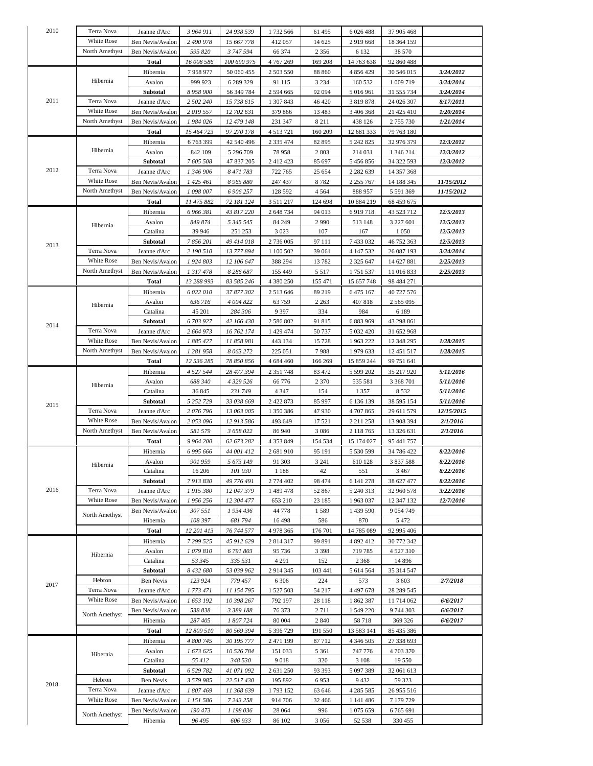| 2010 | Terra Nova        | Jeanne d'Arc     | 3 964 911  | 24 938 539  | 1732 566      | 61 495   | 6 0 2 6 4 8 8 | 37 905 468    |                         |
|------|-------------------|------------------|------------|-------------|---------------|----------|---------------|---------------|-------------------------|
|      |                   |                  |            |             |               |          |               |               |                         |
|      | White Rose        | Ben Nevis/Avalon | 2 490 978  | 15 667 778  | 412057        | 14 625   | 2919668       | 18 364 159    |                         |
|      | North Amethyst    | Ben Nevis/Avalon | 595 820    | 3747594     | 66 374        | 2 3 5 6  | 6 1 3 2       | 38 570        |                         |
|      |                   | Total            | 16 008 586 | 100 690 975 | 4 767 269     | 169 208  | 14 763 638    | 92 860 488    |                         |
|      | Hibernia          | Hibernia         | 7958977    | 50 060 455  | 2 503 550     | 88 860   | 4 856 429     | 30 546 015    | 3/24/2012               |
|      |                   |                  |            |             |               |          |               |               |                         |
|      |                   | Avalon           | 999 923    | 6 289 329   | 91 115        | 3 2 3 4  | 160 532       | 1 009 719     | 3/24/2014               |
|      |                   | Subtotal         | 8 958 900  | 56 349 784  | 2 594 665     | 92 094   | 5 016 961     | 31 555 734    | 3/24/2014               |
| 2011 | Terra Nova        | Jeanne d'Arc     | 2 502 240  | 15 738 615  | 1 307 843     | 46 4 20  | 3 8 1 9 8 7 8 | 24 026 307    | 8/17/2011               |
|      | <b>White Rose</b> | Ben Nevis/Avalon | 2019557    | 12 702 631  | 379 866       | 13 4 8 3 | 3 406 368     | 21 425 410    | 1/20/2014               |
|      | North Amethyst    | Ben Nevis/Avalon | 1 984 026  | 12 479 148  | 231 347       | 8 2 1 1  | 438 126       | 2755730       | 1/21/2014               |
|      |                   |                  |            |             |               |          |               |               |                         |
|      |                   | Total            | 15 464 723 | 97 270 178  | 4 5 1 3 7 2 1 | 160 209  | 12 681 333    | 79 763 180    |                         |
|      |                   | Hibernia         | 6763399    | 42 540 496  | 2 3 3 4 7 4   | 82 895   | 5 242 825     | 32 976 379    | 12/3/2012               |
|      | Hibernia          | Avalon           | 842 109    | 5 296 709   | 78958         | 2803     | 214 031       | 1 346 214     | 12/3/2012               |
|      |                   | Subtotal         | 7 605 508  | 47 837 205  | 2 4 1 2 4 2 3 | 85 697   | 5 456 856     | 34 322 593    | 12/3/2012               |
| 2012 | Terra Nova        | Jeanne d'Arc     | 1 346 906  | 8 471 783   | 722 765       | 25 654   | 2 2 8 2 6 3 9 | 14 357 368    |                         |
|      |                   |                  |            |             |               |          |               |               |                         |
|      | White Rose        | Ben Nevis/Avalon | 1 425 461  | 8 965 880   | 247 437       | 8782     | 2 2 5 7 6 7   | 14 188 345    | <i>11/15/2012</i>       |
|      | North Amethyst    | Ben Nevis/Avalon | 1 098 007  | 6 906 257   | 128 592       | 4 5 6 4  | 888 957       | 5 591 369     | 11/15/2012              |
|      |                   | <b>Total</b>     | 11 475 882 | 72 181 124  | 3 5 1 1 2 1 7 | 124 698  | 10 884 219    | 68 459 675    |                         |
|      |                   | Hibernia         | 6 966 381  | 43 817 220  | 2 648 734     | 94 013   | 6919718       | 43 523 712    | 12/5/2013               |
|      |                   | Avalon           | 849 874    | 5 345 545   | 84 249        | 2990     | 513 148       | 3 2 2 7 6 0 1 | 12/5/2013               |
|      | Hibernia          |                  |            |             |               |          |               |               |                         |
|      |                   | Catalina         | 39 946     | 251 253     | 3 0 2 3       | 107      | 167           | 1 0 5 0       | 12/5/2013               |
| 2013 |                   | Subtotal         | 7 856 201  | 49 414 018  | 2 736 005     | 97 111   | 7433032       | 46 752 363    | 12/5/2013               |
|      | Terra Nova        | Jeanne d'Arc     | 2 190 510  | 13 777 894  | 1 100 502     | 39 061   | 4 147 532     | 26 087 193    | 3/24/2014               |
|      | White Rose        | Ben Nevis/Avalon | 1 924 803  | 12 106 647  | 388 294       | 13782    | 2 3 2 5 6 4 7 | 14 627 881    | 2/25/2013               |
|      | North Amethyst    | Ben Nevis/Avalon | 1 317 478  | 8 286 687   | 155 449       | 5 5 1 7  | 1751537       | 11 016 833    | 2/25/2013               |
|      |                   |                  |            |             |               |          |               |               |                         |
|      |                   | Total            | 13 288 993 | 83 585 246  | 4 380 250     | 155 471  | 15 657 748    | 98 484 271    |                         |
|      |                   | Hibernia         | 6 022 010  | 37 877 302  | 2 5 1 3 6 4 6 | 89 219   | 6 4 7 5 1 6 7 | 40 727 576    |                         |
|      | Hibernia          | Avalon           | 636 716    | 4 004 822   | 63759         | 2 2 6 3  | 407818        | 2 5 6 5 0 9 5 |                         |
|      |                   | Catalina         | 45 201     | 284 306     | 9 3 9 7       | 334      | 984           | 6 1 8 9       |                         |
|      |                   | Subtotal         | 6 703 927  | 42 166 430  | 2 586 802     | 91 815   | 6883969       | 43 298 861    |                         |
| 2014 |                   |                  |            |             |               |          |               |               |                         |
|      | Terra Nova        | Jeanne d'Arc     | 2 664 973  | 16 762 174  | 1 429 474     | 50 737   | 5 0 3 2 4 2 0 | 31 652 968    |                         |
|      | <b>White Rose</b> | Ben Nevis/Avalon | 1 885 427  | 11 858 981  | 443 134       | 15728    | 1963222       | 12 348 295    | 1/28/2015               |
|      | North Amethyst    | Ben Nevis/Avalon | 1 281 958  | 8 063 272   | 225 051       | 7988     | 1979 633      | 12 451 517    | 1/28/2015               |
|      |                   | Total            | 12 536 285 | 78 850 856  | 4 684 460     | 166 269  | 15 859 244    | 99 751 641    |                         |
|      | Hibernia          |                  |            |             | 2 3 5 1 7 4 8 |          |               |               |                         |
|      |                   | Hibernia         | 4 527 544  | 28 477 394  |               | 83 472   | 5 599 202     | 35 217 920    | <i><b>5/11/2016</b></i> |
|      |                   | Avalon           | 688 340    | 4 3 29 5 26 | 66 776        | 2 3 7 0  | 535 581       | 3 3 68 7 01   | <i><b>5/11/2016</b></i> |
|      |                   | Catalina         | 36 845     | 231749      | 4 3 4 7       | 154      | 1 3 5 7       | 8 5 3 2       | 5/11/2016               |
|      |                   | Subtotal         | 5 252 729  | 33 038 669  | 2 422 873     | 85 997   | 6 136 139     | 38 595 154    | 5/11/2016               |
| 2015 | Terra Nova        | Jeanne d'Arc     | 2 076 796  | 13 063 005  | 1 350 386     | 47930    | 4707865       | 29 611 579    | <i>12/15/2015</i>       |
|      | White Rose        | Ben Nevis/Avalon |            |             |               |          |               |               | 2/1/2016                |
|      |                   |                  | 2 053 096  | 12 913 586  | 493 649       | 17521    | 2 2 1 2 5 8   | 13 908 394    |                         |
|      | North Amethyst    | Ben Nevis/Avalon | 581 579    | 3 658 022   | 86 940        | 3 0 8 6  | 2 1 1 8 7 6 5 | 13 326 631    | <i><b>2/1/2016</b></i>  |
|      |                   | Total            | 9 964 200  | 62 673 282  | 4 3 5 3 8 4 9 | 154 534  | 15 174 027    | 95 441 757    |                         |
|      | Hibernia          | Hibernia         | 6 995 666  | 44 001 412  | 2 681 910     | 95 191   | 5 530 599     | 34 786 422    | 8/22/2016               |
|      |                   | Avalon           | 901 959    | 5 673 149   | 91 303        | 3 2 4 1  | 610 128       | 3 837 588     | 8/22/2016               |
|      |                   | Catalina         | 16 20 6    | 101 930     | 1 1 8 8       | 42       | 551           | 3467          | 8/22/2016               |
|      |                   |                  |            |             |               |          |               |               |                         |
|      |                   | Subtotal         | 7 913 830  | 49 776 491  | 2 774 402     | 98 474   | 6 141 278     | 38 627 477    | 8/22/2016               |
| 2016 | Terra Nova        | Jeanne d'Arc     | 1 915 380  | 12 047 379  | 1 489 478     | 52 867   | 5 240 313     | 32 960 578    | 3/22/2016               |
|      | White Rose        | Ben Nevis/Avalon | 1 956 256  | 12 304 477  | 653 210       | 23 185   | 1963037       | 12 347 132    | 12/7/2016               |
|      |                   | Ben Nevis/Avalon | 307 551    | 1934436     | 44 778        | 1589     | 1 439 590     | 9 0 5 4 7 4 9 |                         |
|      | North Amethyst    | Hibernia         | 108 397    | 681794      | 16498         | 586      | 870           | 5 4 7 2       |                         |
|      |                   |                  | 12 201 413 |             |               |          |               |               |                         |
|      |                   | <b>Total</b>     |            | 76 744 577  | 4 978 365     | 176 701  | 14 785 089    | 92 995 406    |                         |
|      | Hibernia          | Hibernia         | 7 299 525  | 45 912 629  | 2 8 1 4 3 1 7 | 99 891   | 4 892 412     | 30 772 342    |                         |
|      |                   | Avalon           | 1079810    | 6791803     | 95 736        | 3 3 9 8  | 719 785       | 4527310       |                         |
|      |                   | Catalina         | 53 345     | 335 531     | 4 29 1        | 152      | 2 3 6 8       | 14 8 9 6      |                         |
|      |                   | Subtotal         | 8 432 680  | 53 039 962  | 2 9 14 3 45   | 103 441  | 5 614 564     | 35 314 547    |                         |
|      | Hebron            |                  |            |             |               |          |               |               |                         |
| 2017 |                   | Ben Nevis        | 123 924    | 779 457     | 6 3 0 6       | 224      | 573           | 3 603         | 2/7/2018                |
|      | Terra Nova        | Jeanne d'Arc     | 1 773 471  | 11 154 795  | 1 527 503     | 54 217   | 4 4 9 7 6 7 8 | 28 289 545    |                         |
|      | White Rose        | Ben Nevis/Avalon | 1 653 192  | 10 398 267  | 792 197       | 28 118   | 1862387       | 11 714 062    | 6/6/2017                |
|      | North Amethyst    | Ben Nevis/Avalon | 538 838    | 3 389 188   | 76 373        | 2711     | 1 549 220     | 9 744 303     | 6/6/2017                |
|      |                   | Hibernia         | 287 405    | 1 807 724   | 80 004        | 2 8 4 0  | 58718         | 369 326       | 6/6/2017                |
|      |                   | <b>Total</b>     | 12 809 510 | 80 569 394  | 5 396 729     | 191 550  | 13 583 141    | 85 435 386    |                         |
|      |                   |                  |            |             |               |          |               |               |                         |
|      | Hibernia          | Hibernia         | 4 800 745  | 30 195 777  | 2 471 199     | 87712    | 4 3 4 6 5 0 5 | 27 338 693    |                         |
|      |                   | Avalon           | 1 673 625  | 10 526 784  | 151 033       | 5 3 6 1  | 747 776       | 4703370       |                         |
|      |                   | Catalina         | 55 412     | 348 530     | 9018          | 320      | 3 1 0 8       | 19550         |                         |
|      |                   | Subtotal         | 6 529 782  | 41 071 092  | 2 631 250     | 93 393   | 5 097 389     | 32 061 613    |                         |
|      | Hebron            |                  | 3 579 985  |             |               |          |               |               |                         |
| 2018 |                   | Ben Nevis        |            | 22 517 430  | 195 892       | 6953     | 9432          | 59 323        |                         |
|      | Terra Nova        | Jeanne d'Arc     | 1807469    | 11 368 639  | 1793152       | 63 646   | 4 2 8 5 5 8 5 | 26 955 516    |                         |
|      | White Rose        | Ben Nevis/Avalon | 1 151 586  | 7 243 258   | 914 706       | 32 4 6 6 | 1 141 486     | 7 179 729     |                         |
|      |                   | Ben Nevis/Avalon | 190 473    | 1 198 036   | 28 064        | 996      | 1 075 659     | 6765691       |                         |
|      | North Amethyst    | Hibernia         | 96 495     | 606 933     | 86 102        | 3056     | 52 538        | 330 455       |                         |
|      |                   |                  |            |             |               |          |               |               |                         |